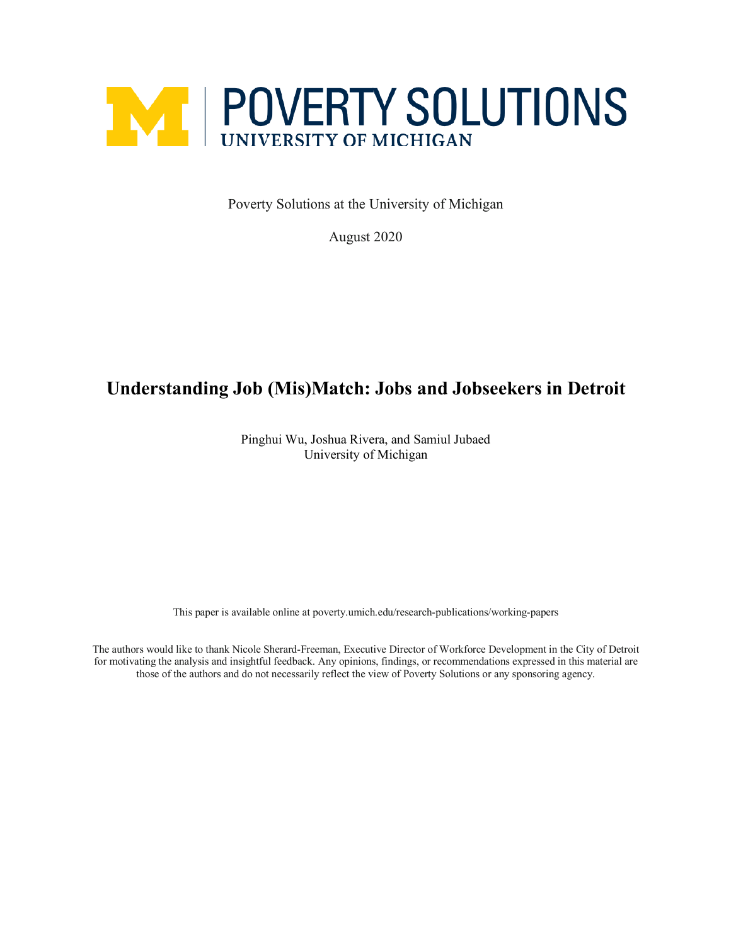

Poverty Solutions at the University of Michigan

August 2020

# **Understanding Job (Mis)Match: Jobs and Jobseekers in Detroit**

Pinghui Wu, Joshua Rivera, and Samiul Jubaed University of Michigan

This paper is available online at poverty.umich.edu/research-publications/working-papers

The authors would like to thank Nicole Sherard-Freeman, Executive Director of Workforce Development in the City of Detroit for motivating the analysis and insightful feedback. Any opinions, findings, or recommendations expressed in this material are those of the authors and do not necessarily reflect the view of Poverty Solutions or any sponsoring agency.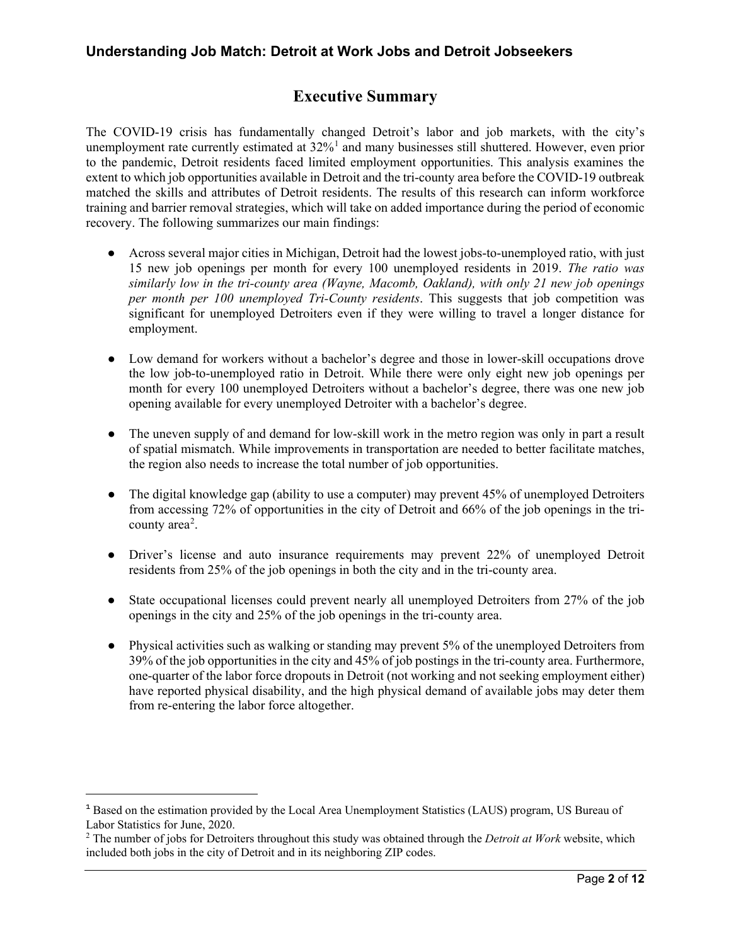# **Executive Summary**

The COVID-19 crisis has fundamentally changed Detroit's labor and job markets, with the city's unemployment rate currently estimated at  $32\%$ <sup>[1](#page-1-0)</sup> and many businesses still shuttered. However, even prior to the pandemic, Detroit residents faced limited employment opportunities. This analysis examines the extent to which job opportunities available in Detroit and the tri-county area before the COVID-19 outbreak matched the skills and attributes of Detroit residents. The results of this research can inform workforce training and barrier removal strategies, which will take on added importance during the period of economic recovery. The following summarizes our main findings:

- Across several major cities in Michigan, Detroit had the lowest jobs-to-unemployed ratio, with just 15 new job openings per month for every 100 unemployed residents in 2019. *The ratio was similarly low in the tri-county area (Wayne, Macomb, Oakland), with only 21 new job openings per month per 100 unemployed Tri-County residents*. This suggests that job competition was significant for unemployed Detroiters even if they were willing to travel a longer distance for employment.
- Low demand for workers without a bachelor's degree and those in lower-skill occupations drove the low job-to-unemployed ratio in Detroit. While there were only eight new job openings per month for every 100 unemployed Detroiters without a bachelor's degree, there was one new job opening available for every unemployed Detroiter with a bachelor's degree.
- The uneven supply of and demand for low-skill work in the metro region was only in part a result of spatial mismatch. While improvements in transportation are needed to better facilitate matches, the region also needs to increase the total number of job opportunities.
- The digital knowledge gap (ability to use a computer) may prevent 45% of unemployed Detroiters from accessing 72% of opportunities in the city of Detroit and 66% of the job openings in the tri-county area<sup>[2](#page-1-1)</sup>.
- Driver's license and auto insurance requirements may prevent 22% of unemployed Detroit residents from 25% of the job openings in both the city and in the tri-county area.
- State occupational licenses could prevent nearly all unemployed Detroiters from 27% of the job openings in the city and 25% of the job openings in the tri-county area.
- Physical activities such as walking or standing may prevent 5% of the unemployed Detroiters from 39% of the job opportunities in the city and 45% of job postings in the tri-county area. Furthermore, one-quarter of the labor force dropouts in Detroit (not working and not seeking employment either) have reported physical disability, and the high physical demand of available jobs may deter them from re-entering the labor force altogether.

 $\overline{a}$ 

<span id="page-1-0"></span><sup>&</sup>lt;sup>1</sup> Based on the estimation provided by the Local Area Unemployment Statistics (LAUS) program, US Bureau of Labor Statistics for June, 2020.

<span id="page-1-1"></span><sup>2</sup> The number of jobs for Detroiters throughout this study was obtained through the *Detroit at Work* website, which included both jobs in the city of Detroit and in its neighboring ZIP codes.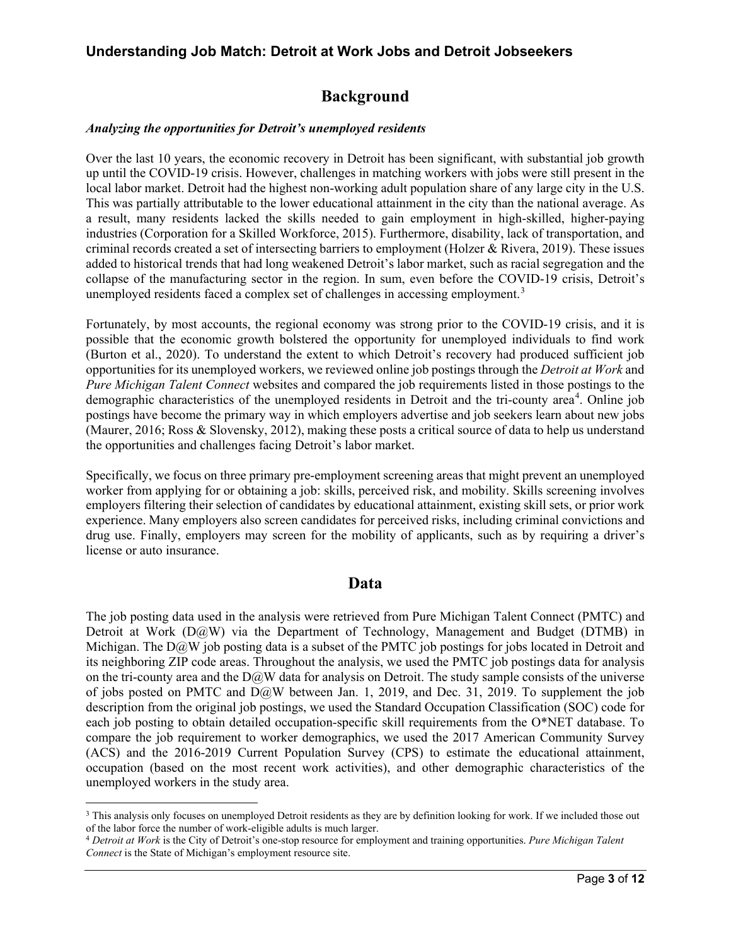# **Background**

#### *Analyzing the opportunities for Detroit's unemployed residents*

Over the last 10 years, the economic recovery in Detroit has been significant, with substantial job growth up until the COVID-19 crisis. However, challenges in matching workers with jobs were still present in the local labor market. Detroit had the highest non-working adult population share of any large city in the U.S. This was partially attributable to the lower educational attainment in the city than the national average. As a result, many residents lacked the skills needed to gain employment in high-skilled, higher-paying industries (Corporation for a Skilled Workforce, 2015). Furthermore, disability, lack of transportation, and criminal records created a set of intersecting barriers to employment (Holzer & Rivera, 2019). These issues added to historical trends that had long weakened Detroit's labor market, such as racial segregation and the collapse of the manufacturing sector in the region. In sum, even before the COVID-19 crisis, Detroit's unemployed residents faced a complex set of challenges in accessing employment.<sup>[3](#page-2-0)</sup>

Fortunately, by most accounts, the regional economy was strong prior to the COVID-19 crisis, and it is possible that the economic growth bolstered the opportunity for unemployed individuals to find work (Burton et al., 2020). To understand the extent to which Detroit's recovery had produced sufficient job opportunities for its unemployed workers, we reviewed online job postings through the *Detroit at Work* and *Pure Michigan Talent Connect* websites and compared the job requirements listed in those postings to the demographic characteristics of the unemployed residents in Detroit and the tri-county area<sup>[4](#page-2-1)</sup>. Online job postings have become the primary way in which employers advertise and job seekers learn about new jobs (Maurer, 2016; Ross & Slovensky, 2012), making these posts a critical source of data to help us understand the opportunities and challenges facing Detroit's labor market.

Specifically, we focus on three primary pre-employment screening areas that might prevent an unemployed worker from applying for or obtaining a job: skills, perceived risk, and mobility. Skills screening involves employers filtering their selection of candidates by educational attainment, existing skill sets, or prior work experience. Many employers also screen candidates for perceived risks, including criminal convictions and drug use. Finally, employers may screen for the mobility of applicants, such as by requiring a driver's license or auto insurance.

#### **Data**

The job posting data used in the analysis were retrieved from Pure Michigan Talent Connect (PMTC) and Detroit at Work (D@W) via the Department of Technology, Management and Budget (DTMB) in Michigan. The  $D(\partial_t W)$  job posting data is a subset of the PMTC job postings for jobs located in Detroit and its neighboring ZIP code areas. Throughout the analysis, we used the PMTC job postings data for analysis on the tri-county area and the  $D\ddot{\omega}$  data for analysis on Detroit. The study sample consists of the universe of jobs posted on PMTC and D@W between Jan. 1, 2019, and Dec. 31, 2019. To supplement the job description from the original job postings, we used the Standard Occupation Classification (SOC) code for each job posting to obtain detailed occupation-specific skill requirements from the O\*NET database. To compare the job requirement to worker demographics, we used the 2017 American Community Survey (ACS) and the 2016-2019 Current Population Survey (CPS) to estimate the educational attainment, occupation (based on the most recent work activities), and other demographic characteristics of the unemployed workers in the study area.

<span id="page-2-0"></span><sup>&</sup>lt;sup>3</sup> This analysis only focuses on unemployed Detroit residents as they are by definition looking for work. If we included those out of the labor force the number of work-eligible adults is much larger.

<span id="page-2-1"></span><sup>&</sup>lt;sup>4</sup> Detroit at Work is the City of Detroit's one-stop resource for employment and training opportunities. Pure Michigan Talent *Connect* is the State of Michigan's employment resource site.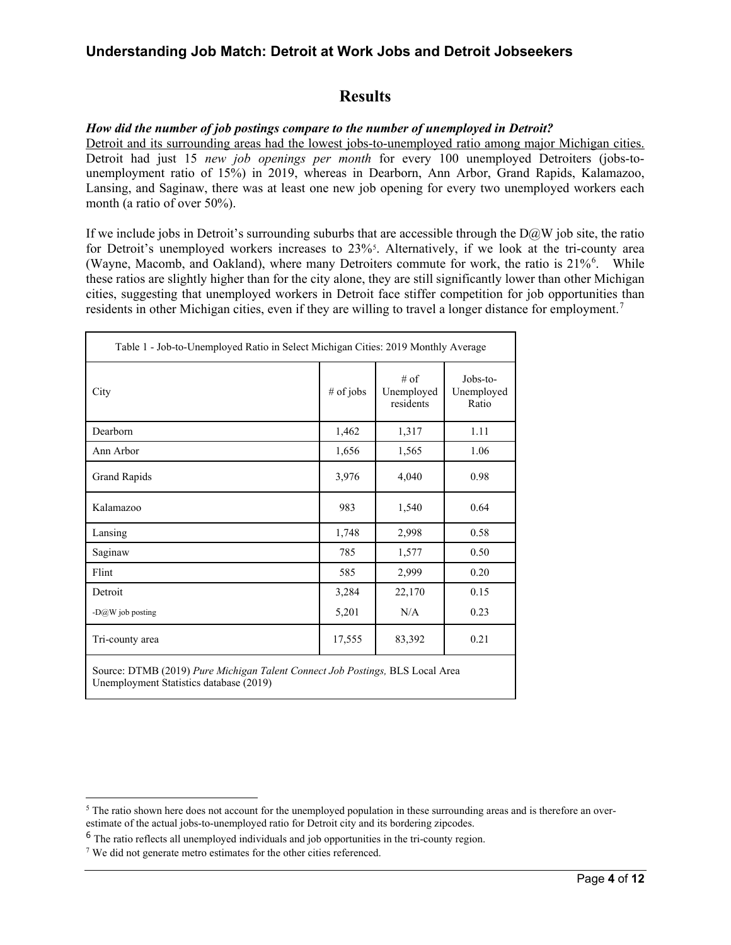# **Results**

#### *How did the number of job postings compare to the number of unemployed in Detroit?*

Detroit and its surrounding areas had the lowest jobs-to-unemployed ratio among major Michigan cities. Detroit had just 15 *new job openings per month* for every 100 unemployed Detroiters (jobs-tounemployment ratio of 15%) in 2019, whereas in Dearborn, Ann Arbor, Grand Rapids, Kalamazoo, Lansing, and Saginaw, there was at least one new job opening for every two unemployed workers each month (a ratio of over 50%).

If we include jobs in Detroit's surrounding suburbs that are accessible through the  $D@W$  job site, the ratio for Detroit's unemployed workers increases to 23%<sup>[5](#page-3-0)</sup>. Alternatively, if we look at the tri-county area (Wayne, Macomb, and Oakland), where many Detroiters commute for work, the ratio is 21%<sup>[6](#page-3-1)</sup>. While these ratios are slightly higher than for the city alone, they are still significantly lower than other Michigan cities, suggesting that unemployed workers in Detroit face stiffer competition for job opportunities than residents in other Michigan cities, even if they are willing to travel a longer distance for employment.<sup>[7](#page-3-2)</sup>

| Table 1 - Job-to-Unemployed Ratio in Select Michigan Cities: 2019 Monthly Average |           |                                 |                                 |  |  |
|-----------------------------------------------------------------------------------|-----------|---------------------------------|---------------------------------|--|--|
| City                                                                              | # of jobs | # of<br>Unemployed<br>residents | Jobs-to-<br>Unemployed<br>Ratio |  |  |
| Dearborn                                                                          | 1,462     | 1,317                           | 1.11                            |  |  |
| Ann Arbor                                                                         | 1,656     | 1,565                           | 1.06                            |  |  |
| <b>Grand Rapids</b>                                                               | 3,976     | 4,040                           | 0.98                            |  |  |
| Kalamazoo                                                                         | 983       | 1,540                           | 0.64                            |  |  |
| Lansing                                                                           | 1,748     | 2,998                           | 0.58                            |  |  |
| Saginaw                                                                           | 785       | 1,577                           | 0.50                            |  |  |
| Flint                                                                             | 585       | 2,999                           | 0.20                            |  |  |
| Detroit                                                                           | 3,284     | 22,170                          | 0.15                            |  |  |
| - $D@W$ job posting                                                               | 5,201     | N/A                             | 0.23                            |  |  |
| Tri-county area                                                                   | 17,555    | 83,392                          | 0.21                            |  |  |
| Source: DTMB (2019) Pure Michigan Talent Connect Job Postings, BLS Local Area     |           |                                 |                                 |  |  |

Unemployment Statistics database (2019)

<span id="page-3-0"></span><sup>&</sup>lt;sup>5</sup> The ratio shown here does not account for the unemployed population in these surrounding areas and is therefore an overestimate of the actual jobs-to-unemployed ratio for Detroit city and its bordering zipcodes.

<span id="page-3-1"></span><sup>&</sup>lt;sup>6</sup> The ratio reflects all unemployed individuals and job opportunities in the tri-county region.

<span id="page-3-2"></span><sup>7</sup> We did not generate metro estimates for the other cities referenced.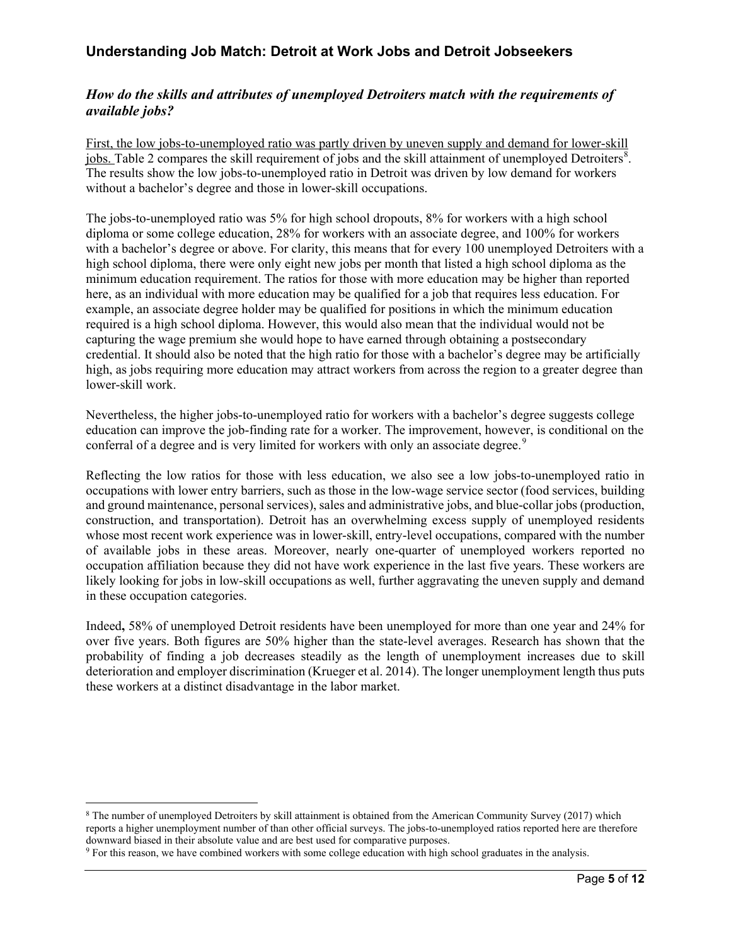#### *How do the skills and attributes of unemployed Detroiters match with the requirements of available jobs?*

First, the low jobs-to-unemployed ratio was partly driven by uneven supply and demand for lower-skill jobs. Table 2 compares the skill requirement of jobs and the skill attainment of unemployed Detroiters<sup>[8](#page-4-0)</sup>. The results show the low jobs-to-unemployed ratio in Detroit was driven by low demand for workers without a bachelor's degree and those in lower-skill occupations.

The jobs-to-unemployed ratio was 5% for high school dropouts, 8% for workers with a high school diploma or some college education, 28% for workers with an associate degree, and 100% for workers with a bachelor's degree or above. For clarity, this means that for every 100 unemployed Detroiters with a high school diploma, there were only eight new jobs per month that listed a high school diploma as the minimum education requirement. The ratios for those with more education may be higher than reported here, as an individual with more education may be qualified for a job that requires less education. For example, an associate degree holder may be qualified for positions in which the minimum education required is a high school diploma. However, this would also mean that the individual would not be capturing the wage premium she would hope to have earned through obtaining a postsecondary credential. It should also be noted that the high ratio for those with a bachelor's degree may be artificially high, as jobs requiring more education may attract workers from across the region to a greater degree than lower-skill work.

Nevertheless, the higher jobs-to-unemployed ratio for workers with a bachelor's degree suggests college education can improve the job-finding rate for a worker. The improvement, however, is conditional on the conferral of a degree and is very limited for workers with only an associate degree.<sup>[9](#page-4-1)</sup>

Reflecting the low ratios for those with less education, we also see a low jobs-to-unemployed ratio in occupations with lower entry barriers, such as those in the low-wage service sector (food services, building and ground maintenance, personal services), sales and administrative jobs, and blue-collar jobs (production, construction, and transportation). Detroit has an overwhelming excess supply of unemployed residents whose most recent work experience was in lower-skill, entry-level occupations, compared with the number of available jobs in these areas. Moreover, nearly one-quarter of unemployed workers reported no occupation affiliation because they did not have work experience in the last five years. These workers are likely looking for jobs in low-skill occupations as well, further aggravating the uneven supply and demand in these occupation categories.

Indeed**,** 58% of unemployed Detroit residents have been unemployed for more than one year and 24% for over five years. Both figures are 50% higher than the state-level averages. Research has shown that the probability of finding a job decreases steadily as the length of unemployment increases due to skill deterioration and employer discrimination (Krueger et al. 2014). The longer unemployment length thus puts these workers at a distinct disadvantage in the labor market.

<span id="page-4-0"></span> <sup>8</sup> The number of unemployed Detroiters by skill attainment is obtained from the American Community Survey (2017) which reports a higher unemployment number of than other official surveys. The jobs-to-unemployed ratios reported here are therefore downward biased in their absolute value and are best used for comparative purposes.

<span id="page-4-1"></span><sup>&</sup>lt;sup>9</sup> For this reason, we have combined workers with some college education with high school graduates in the analysis.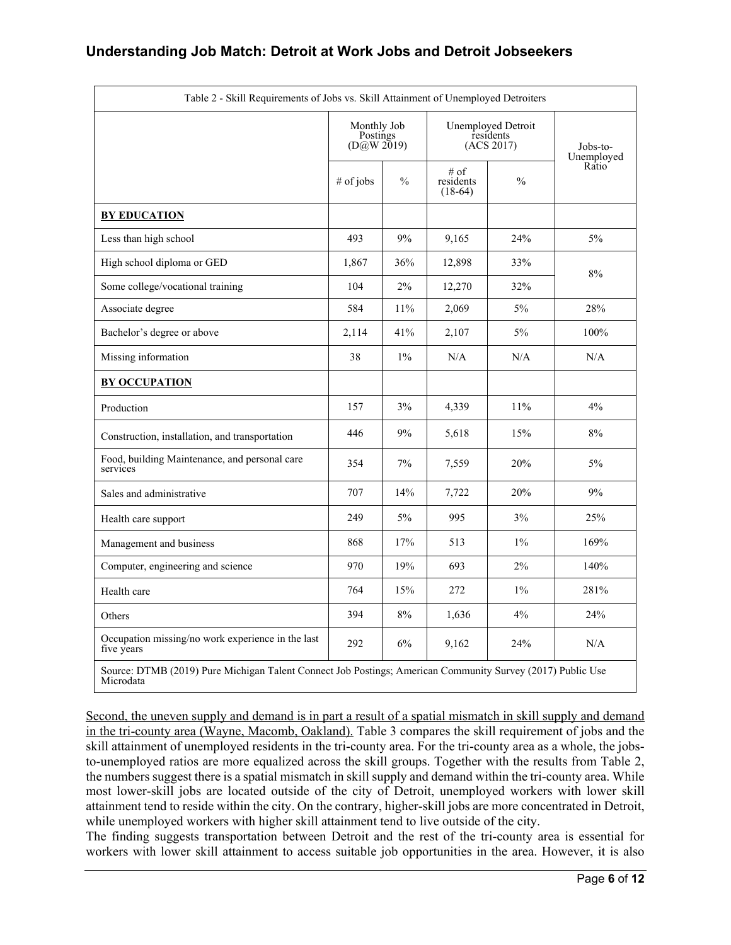| Table 2 - Skill Requirements of Jobs vs. Skill Attainment of Unemployed Detroiters                                      |                                                                                            |               |                                |                        |       |  |
|-------------------------------------------------------------------------------------------------------------------------|--------------------------------------------------------------------------------------------|---------------|--------------------------------|------------------------|-------|--|
|                                                                                                                         | Monthly Job<br>Unemployed Detroit<br>residents<br>Postings<br>( $D@W 2019$ )<br>(ACS 2017) |               |                                | Jobs-to-<br>Unemployed |       |  |
|                                                                                                                         | # of jobs                                                                                  | $\frac{0}{0}$ | # of<br>residents<br>$(18-64)$ | $\frac{0}{0}$          | Ratio |  |
| <b>BY EDUCATION</b>                                                                                                     |                                                                                            |               |                                |                        |       |  |
| Less than high school                                                                                                   | 493                                                                                        | 9%            | 9,165                          | 24%                    | $5\%$ |  |
| High school diploma or GED                                                                                              | 1,867                                                                                      | 36%           | 12,898                         | 33%                    | 8%    |  |
| Some college/vocational training                                                                                        | 104                                                                                        | 2%            | 12,270                         | 32%                    |       |  |
| Associate degree                                                                                                        | 584                                                                                        | 11%           | 2,069                          | $5\%$                  | 28%   |  |
| Bachelor's degree or above                                                                                              | 2,114                                                                                      | 41%           | 2,107                          | $5\%$                  | 100%  |  |
| Missing information                                                                                                     | 38                                                                                         | $1\%$         | N/A                            | N/A                    | N/A   |  |
| <b>BY OCCUPATION</b>                                                                                                    |                                                                                            |               |                                |                        |       |  |
| Production                                                                                                              | 157                                                                                        | 3%            | 4,339                          | 11%                    | 4%    |  |
| Construction, installation, and transportation                                                                          | 446                                                                                        | 9%            | 5,618                          | 15%                    | 8%    |  |
| Food, building Maintenance, and personal care<br>services                                                               | 354                                                                                        | 7%            | 7,559                          | 20%                    | $5\%$ |  |
| Sales and administrative                                                                                                | 707                                                                                        | 14%           | 7,722                          | 20%                    | 9%    |  |
| Health care support                                                                                                     | 249                                                                                        | 5%            | 995                            | 3%                     | 25%   |  |
| Management and business                                                                                                 | 868                                                                                        | 17%           | 513                            | $1\%$                  | 169%  |  |
| Computer, engineering and science                                                                                       | 970                                                                                        | 19%           | 693                            | 2%                     | 140%  |  |
| Health care                                                                                                             | 764                                                                                        | 15%           | 272                            | $1\%$                  | 281%  |  |
| Others                                                                                                                  | 394                                                                                        | 8%            | 1,636                          | 4%                     | 24%   |  |
| Occupation missing/no work experience in the last<br>five years                                                         | 292                                                                                        | 6%            | 9,162                          | 24%                    | N/A   |  |
| Source: DTMB (2019) Pure Michigan Talent Connect Job Postings; American Community Survey (2017) Public Use<br>Microdata |                                                                                            |               |                                |                        |       |  |

Second, the uneven supply and demand is in part a result of a spatial mismatch in skill supply and demand in the tri-county area (Wayne, Macomb, Oakland). Table 3 compares the skill requirement of jobs and the skill attainment of unemployed residents in the tri-county area. For the tri-county area as a whole, the jobsto-unemployed ratios are more equalized across the skill groups. Together with the results from Table 2, the numbers suggest there is a spatial mismatch in skill supply and demand within the tri-county area. While most lower-skill jobs are located outside of the city of Detroit, unemployed workers with lower skill attainment tend to reside within the city. On the contrary, higher-skill jobs are more concentrated in Detroit, while unemployed workers with higher skill attainment tend to live outside of the city.

The finding suggests transportation between Detroit and the rest of the tri-county area is essential for workers with lower skill attainment to access suitable job opportunities in the area. However, it is also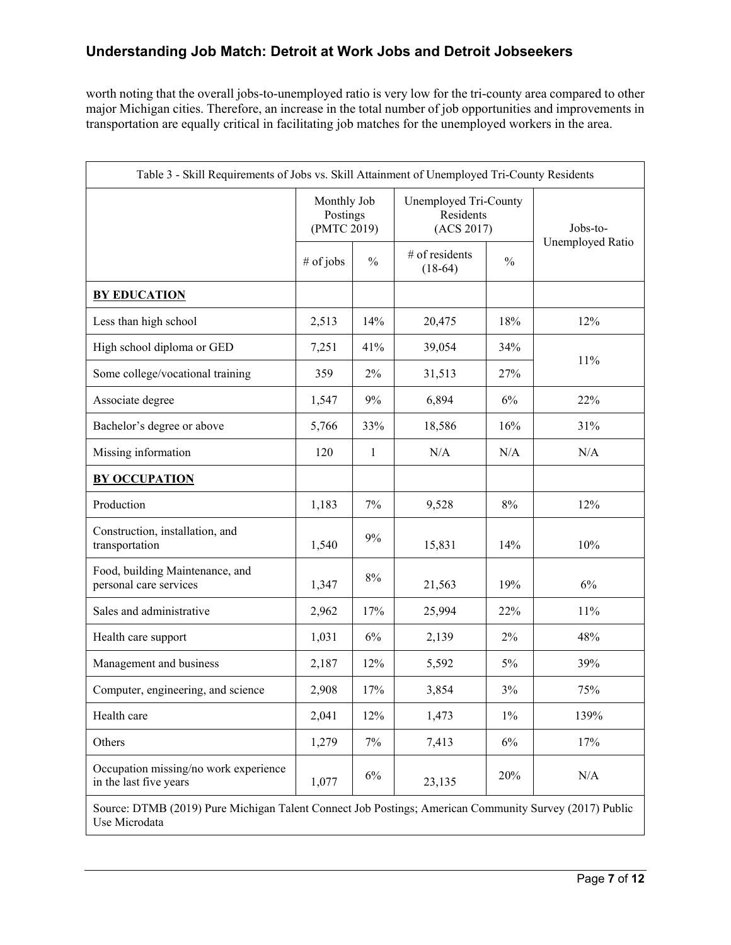worth noting that the overall jobs-to-unemployed ratio is very low for the tri-county area compared to other major Michigan cities. Therefore, an increase in the total number of job opportunities and improvements in transportation are equally critical in facilitating job matches for the unemployed workers in the area.

| Table 3 - Skill Requirements of Jobs vs. Skill Attainment of Unemployed Tri-County Residents                            |                                        |               |                                                  |               |                  |  |
|-------------------------------------------------------------------------------------------------------------------------|----------------------------------------|---------------|--------------------------------------------------|---------------|------------------|--|
|                                                                                                                         | Monthly Job<br>Postings<br>(PMTC 2019) |               | Unemployed Tri-County<br>Residents<br>(ACS 2017) |               | Jobs-to-         |  |
|                                                                                                                         | # of jobs                              | $\frac{0}{0}$ | # of residents<br>$(18-64)$                      | $\frac{0}{0}$ | Unemployed Ratio |  |
| <b>BY EDUCATION</b>                                                                                                     |                                        |               |                                                  |               |                  |  |
| Less than high school                                                                                                   | 2,513                                  | 14%           | 20,475                                           | 18%           | 12%              |  |
| High school diploma or GED                                                                                              | 7,251                                  | 41%           | 39,054                                           | 34%           |                  |  |
| Some college/vocational training                                                                                        | 359                                    | $2\%$         | 31,513                                           | 27%           | 11%              |  |
| Associate degree                                                                                                        | 1,547                                  | 9%            | 6,894                                            | 6%            | 22%              |  |
| Bachelor's degree or above                                                                                              | 5,766                                  | 33%           | 18,586                                           | 16%           | 31%              |  |
| Missing information                                                                                                     | 120                                    | 1             | N/A                                              | N/A           | N/A              |  |
| <b>BY OCCUPATION</b>                                                                                                    |                                        |               |                                                  |               |                  |  |
| Production                                                                                                              | 1,183                                  | 7%            | 9,528                                            | 8%            | 12%              |  |
| Construction, installation, and<br>transportation                                                                       | 1,540                                  | $9\%$         | 15,831                                           | 14%           | 10%              |  |
| Food, building Maintenance, and<br>personal care services                                                               | 1,347                                  | $8\%$         | 21,563                                           | 19%           | 6%               |  |
| Sales and administrative                                                                                                | 2,962                                  | 17%           | 25,994                                           | 22%           | 11%              |  |
| Health care support                                                                                                     | 1,031                                  | 6%            | 2,139                                            | 2%            | 48%              |  |
| Management and business                                                                                                 | 2,187                                  | 12%           | 5,592                                            | $5\%$         | 39%              |  |
| Computer, engineering, and science                                                                                      | 2,908                                  | 17%           | 3,854                                            | 3%            | 75%              |  |
| Health care                                                                                                             | 2,041                                  | 12%           | 1,473                                            | $1\%$         | 139%             |  |
| Others                                                                                                                  | 1,279                                  | 7%            | 7,413                                            | 6%            | 17%              |  |
| Occupation missing/no work experience<br>in the last five years                                                         | 1,077                                  | 6%            | 23,135                                           | 20%           | $\rm N/A$        |  |
| Source: DTMB (2019) Pure Michigan Talent Connect Job Postings; American Community Survey (2017) Public<br>Use Microdata |                                        |               |                                                  |               |                  |  |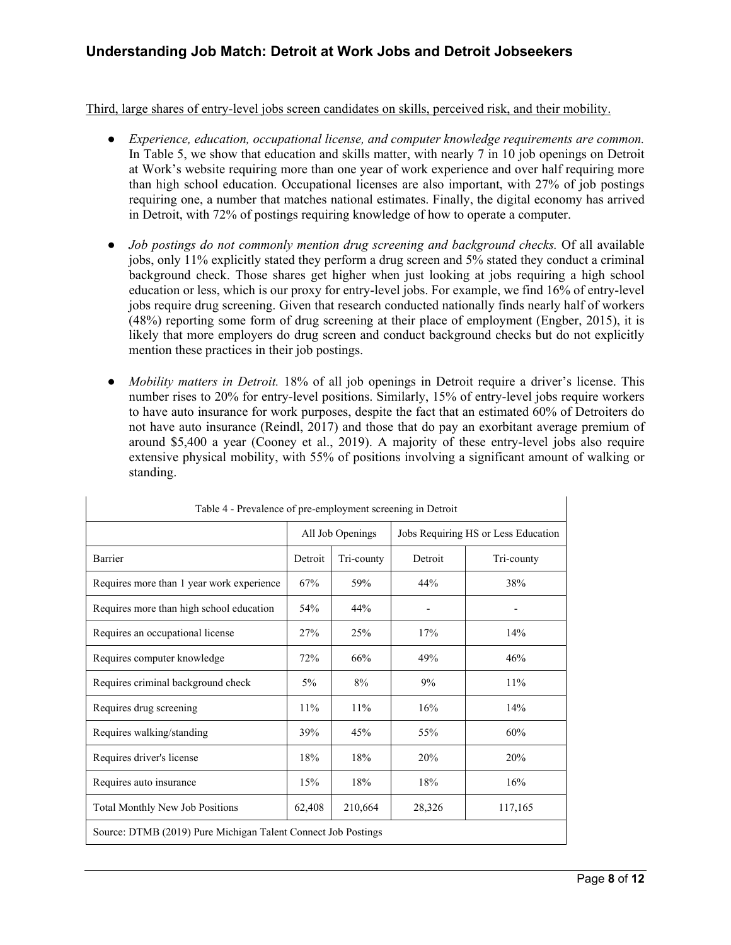Third, large shares of entry-level jobs screen candidates on skills, perceived risk, and their mobility.

- *Experience, education, occupational license, and computer knowledge requirements are common.*  In Table 5, we show that education and skills matter, with nearly 7 in 10 job openings on Detroit at Work's website requiring more than one year of work experience and over half requiring more than high school education. Occupational licenses are also important, with 27% of job postings requiring one, a number that matches national estimates. Finally, the digital economy has arrived in Detroit, with 72% of postings requiring knowledge of how to operate a computer.
- *Job postings do not commonly mention drug screening and background checks.* Of all available jobs, only 11% explicitly stated they perform a drug screen and 5% stated they conduct a criminal background check. Those shares get higher when just looking at jobs requiring a high school education or less, which is our proxy for entry-level jobs. For example, we find 16% of entry-level jobs require drug screening. Given that research conducted nationally finds nearly half of workers (48%) reporting some form of drug screening at their place of employment (Engber, 2015), it is likely that more employers do drug screen and conduct background checks but do not explicitly mention these practices in their job postings.
- *Mobility matters in Detroit.* 18% of all job openings in Detroit require a driver's license. This number rises to 20% for entry-level positions. Similarly, 15% of entry-level jobs require workers to have auto insurance for work purposes, despite the fact that an estimated 60% of Detroiters do not have auto insurance (Reindl, 2017) and those that do pay an exorbitant average premium of around \$5,400 a year (Cooney et al., 2019). A majority of these entry-level jobs also require extensive physical mobility, with 55% of positions involving a significant amount of walking or standing.

| Table 4 - Prevalence of pre-employment screening in Detroit   |                  |            |         |                                     |  |
|---------------------------------------------------------------|------------------|------------|---------|-------------------------------------|--|
|                                                               | All Job Openings |            |         | Jobs Requiring HS or Less Education |  |
| Barrier                                                       | Detroit          | Tri-county | Detroit | Tri-county                          |  |
| Requires more than 1 year work experience                     | 67%              | 59%        | 44%     | 38%                                 |  |
| Requires more than high school education                      | 54%              | 44%        |         |                                     |  |
| Requires an occupational license                              | 27%              | 25%        | 17%     | 14%                                 |  |
| Requires computer knowledge                                   | 72%              | 66%        | 49%     | 46%                                 |  |
| Requires criminal background check                            | $5\%$            | 8%         | 9%      | 11%                                 |  |
| Requires drug screening                                       | 11%              | 11%        | 16%     | 14%                                 |  |
| Requires walking/standing                                     | 39%              | 45%        | 55%     | 60%                                 |  |
| Requires driver's license                                     | 18%              | 18%        | 20%     | 20%                                 |  |
| Requires auto insurance                                       | 15%              | 18%        | 18%     | 16%                                 |  |
| <b>Total Monthly New Job Positions</b>                        | 62,408           | 210,664    | 28,326  | 117,165                             |  |
| Source: DTMB (2019) Pure Michigan Talent Connect Job Postings |                  |            |         |                                     |  |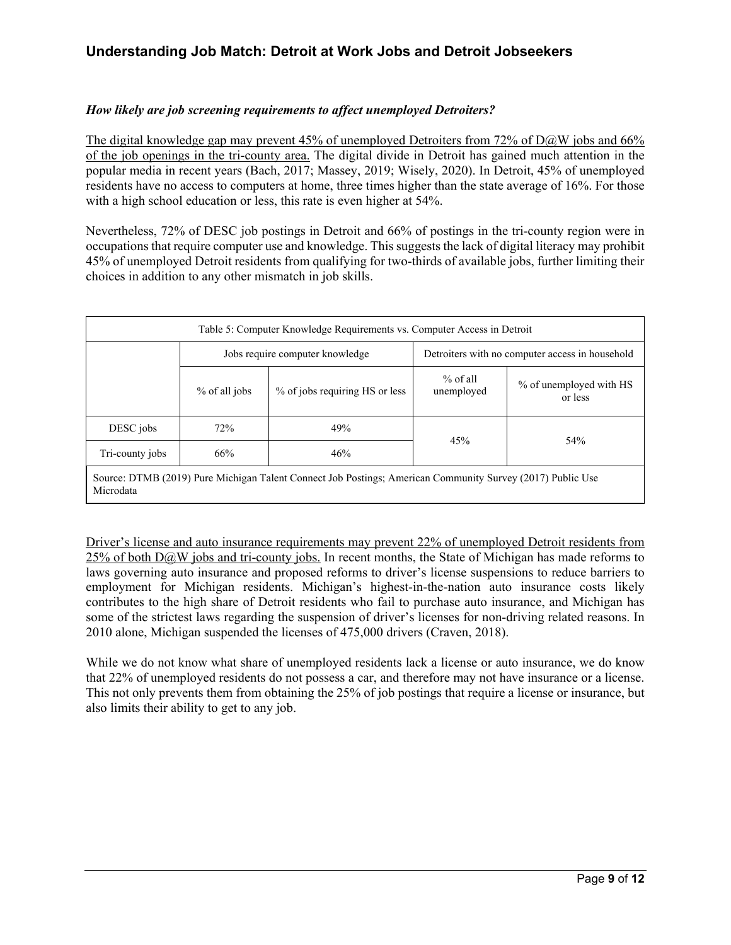#### *How likely are job screening requirements to affect unemployed Detroiters?*

The digital knowledge gap may prevent 45% of unemployed Detroiters from 72% of D@W jobs and 66% of the job openings in the tri-county area. The digital divide in Detroit has gained much attention in the popular media in recent years (Bach, 2017; Massey, 2019; Wisely, 2020). In Detroit, 45% of unemployed residents have no access to computers at home, three times higher than the state average of 16%. For those with a high school education or less, this rate is even higher at 54%.

Nevertheless, 72% of DESC job postings in Detroit and 66% of postings in the tri-county region were in occupations that require computer use and knowledge. This suggests the lack of digital literacy may prohibit 45% of unemployed Detroit residents from qualifying for two-thirds of available jobs, further limiting their choices in addition to any other mismatch in job skills.

| Table 5: Computer Knowledge Requirements vs. Computer Access in Detroit                                                 |                                                                                    |                                |                          |                                    |  |
|-------------------------------------------------------------------------------------------------------------------------|------------------------------------------------------------------------------------|--------------------------------|--------------------------|------------------------------------|--|
|                                                                                                                         | Jobs require computer knowledge<br>Detroiters with no computer access in household |                                |                          |                                    |  |
|                                                                                                                         | % of all jobs                                                                      | % of jobs requiring HS or less | $%$ of all<br>unemployed | % of unemployed with HS<br>or less |  |
| DESC jobs                                                                                                               | 72%                                                                                | 49%                            |                          |                                    |  |
| Tri-county jobs                                                                                                         | 66%                                                                                | 46%                            | 45%<br>54%               |                                    |  |
| Source: DTMB (2019) Pure Michigan Talent Connect Job Postings; American Community Survey (2017) Public Use<br>Microdata |                                                                                    |                                |                          |                                    |  |

Driver's license and auto insurance requirements may prevent 22% of unemployed Detroit residents from  $25\%$  of both D $@W$  jobs and tri-county jobs. In recent months, the State of Michigan has made reforms to laws governing auto insurance and proposed reforms to driver's license suspensions to reduce barriers to employment for Michigan residents. Michigan's highest-in-the-nation auto insurance costs likely contributes to the high share of Detroit residents who fail to purchase auto insurance, and Michigan has some of the strictest laws regarding the suspension of driver's licenses for non-driving related reasons. In 2010 alone, Michigan suspended the licenses of 475,000 drivers (Craven, 2018).

While we do not know what share of unemployed residents lack a license or auto insurance, we do know that 22% of unemployed residents do not possess a car, and therefore may not have insurance or a license. This not only prevents them from obtaining the 25% of job postings that require a license or insurance, but also limits their ability to get to any job.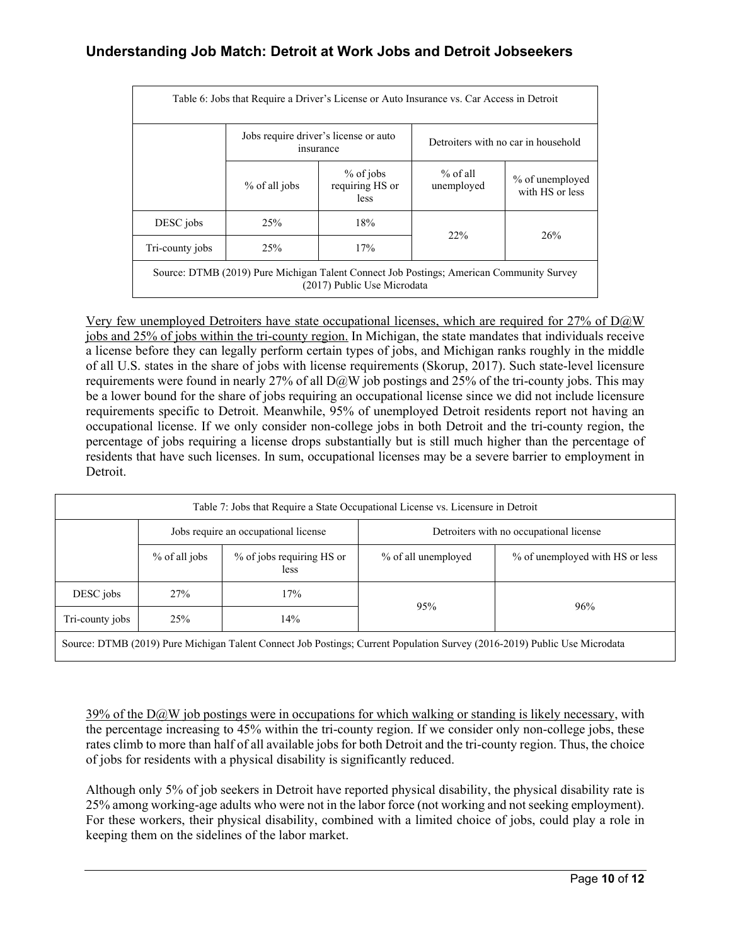| Table 6: Jobs that Require a Driver's License or Auto Insurance vs. Car Access in Detroit                               |               |                                                    |                          |                                     |  |  |
|-------------------------------------------------------------------------------------------------------------------------|---------------|----------------------------------------------------|--------------------------|-------------------------------------|--|--|
|                                                                                                                         |               | Jobs require driver's license or auto<br>insurance |                          | Detroiters with no car in household |  |  |
|                                                                                                                         | % of all jobs | $%$ of jobs<br>requiring HS or<br><i>less</i>      | $%$ of all<br>unemployed | % of unemployed<br>with HS or less  |  |  |
| DESC jobs                                                                                                               | 25%           | 18%                                                | 22%                      | 26%                                 |  |  |
| Tri-county jobs                                                                                                         | 25%           | 17%                                                |                          |                                     |  |  |
| Source: DTMB (2019) Pure Michigan Talent Connect Job Postings; American Community Survey<br>(2017) Public Use Microdata |               |                                                    |                          |                                     |  |  |

Very few unemployed Detroiters have state occupational licenses, which are required for  $27\%$  of D $@W$ jobs and 25% of jobs within the tri-county region. In Michigan, the state mandates that individuals receive a license before they can legally perform certain types of jobs, and Michigan ranks roughly in the middle of all U.S. states in the share of jobs with license requirements (Skorup, 2017). Such state-level licensure requirements were found in nearly 27% of all  $D@W$  job postings and 25% of the tri-county jobs. This may be a lower bound for the share of jobs requiring an occupational license since we did not include licensure requirements specific to Detroit. Meanwhile, 95% of unemployed Detroit residents report not having an occupational license. If we only consider non-college jobs in both Detroit and the tri-county region, the percentage of jobs requiring a license drops substantially but is still much higher than the percentage of residents that have such licenses. In sum, occupational licenses may be a severe barrier to employment in Detroit.

| Table 7: Jobs that Require a State Occupational License vs. Licensure in Detroit                                                                   |                                                                                 |                                   |                                                        |     |  |  |
|----------------------------------------------------------------------------------------------------------------------------------------------------|---------------------------------------------------------------------------------|-----------------------------------|--------------------------------------------------------|-----|--|--|
|                                                                                                                                                    | Jobs require an occupational license<br>Detroiters with no occupational license |                                   |                                                        |     |  |  |
|                                                                                                                                                    | % of all jobs                                                                   | % of jobs requiring HS or<br>less | % of unemployed with HS or less<br>% of all unemployed |     |  |  |
| DESC jobs                                                                                                                                          | 27%                                                                             | 17%                               | 95%                                                    | 96% |  |  |
| Tri-county jobs                                                                                                                                    | 25%                                                                             | 14%                               |                                                        |     |  |  |
| $(0.016, 0.010)$ D 11' II MC 1.<br>$P(T110)$ $(0.010)$ $P = 111$<br>$\pi$ 1 $\alpha$ $\pi$ 1 $\alpha$ $\alpha$ $\pi$ 1 $\alpha$ $\alpha$<br>$\sim$ |                                                                                 |                                   |                                                        |     |  |  |

Source: DTMB (2019) Pure Michigan Talent Connect Job Postings; Current Population Survey (2016-2019) Public Use Microdata

39% of the  $D@W$  job postings were in occupations for which walking or standing is likely necessary, with the percentage increasing to 45% within the tri-county region. If we consider only non-college jobs, these rates climb to more than half of all available jobs for both Detroit and the tri-county region. Thus, the choice of jobs for residents with a physical disability is significantly reduced.

Although only 5% of job seekers in Detroit have reported physical disability, the physical disability rate is 25% among working-age adults who were not in the labor force (not working and not seeking employment). For these workers, their physical disability, combined with a limited choice of jobs, could play a role in keeping them on the sidelines of the labor market.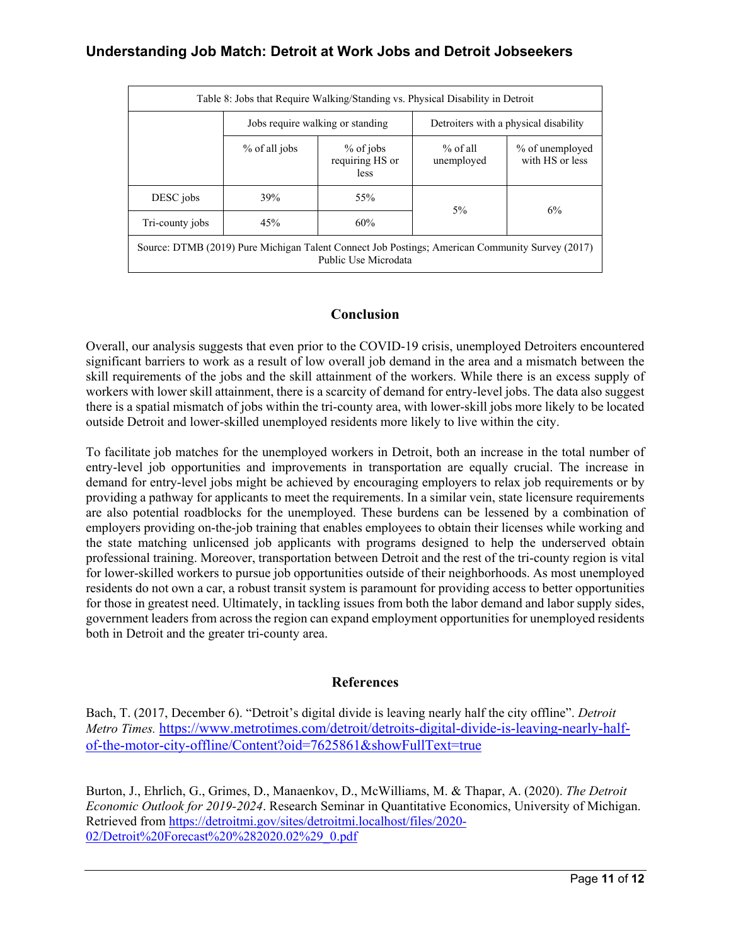| Table 8: Jobs that Require Walking/Standing vs. Physical Disability in Detroit                                          |               |                                               |                                       |                                    |  |
|-------------------------------------------------------------------------------------------------------------------------|---------------|-----------------------------------------------|---------------------------------------|------------------------------------|--|
|                                                                                                                         |               | Jobs require walking or standing              | Detroiters with a physical disability |                                    |  |
|                                                                                                                         | % of all jobs | $%$ of jobs<br>requiring HS or<br><i>less</i> | $%$ of all<br>unemployed              | % of unemployed<br>with HS or less |  |
| DESC jobs                                                                                                               | 39%           | 55%                                           | $5\%$                                 | 6%                                 |  |
| Tri-county jobs                                                                                                         | 45%           | 60%                                           |                                       |                                    |  |
| Source: DTMB (2019) Pure Michigan Talent Connect Job Postings; American Community Survey (2017)<br>Public Use Microdata |               |                                               |                                       |                                    |  |

#### **Conclusion**

Overall, our analysis suggests that even prior to the COVID-19 crisis, unemployed Detroiters encountered significant barriers to work as a result of low overall job demand in the area and a mismatch between the skill requirements of the jobs and the skill attainment of the workers. While there is an excess supply of workers with lower skill attainment, there is a scarcity of demand for entry-level jobs. The data also suggest there is a spatial mismatch of jobs within the tri-county area, with lower-skill jobs more likely to be located outside Detroit and lower-skilled unemployed residents more likely to live within the city.

To facilitate job matches for the unemployed workers in Detroit, both an increase in the total number of entry-level job opportunities and improvements in transportation are equally crucial. The increase in demand for entry-level jobs might be achieved by encouraging employers to relax job requirements or by providing a pathway for applicants to meet the requirements. In a similar vein, state licensure requirements are also potential roadblocks for the unemployed. These burdens can be lessened by a combination of employers providing on-the-job training that enables employees to obtain their licenses while working and the state matching unlicensed job applicants with programs designed to help the underserved obtain professional training. Moreover, transportation between Detroit and the rest of the tri-county region is vital for lower-skilled workers to pursue job opportunities outside of their neighborhoods. As most unemployed residents do not own a car, a robust transit system is paramount for providing access to better opportunities for those in greatest need. Ultimately, in tackling issues from both the labor demand and labor supply sides, government leaders from across the region can expand employment opportunities for unemployed residents both in Detroit and the greater tri-county area.

#### **References**

Bach, T. (2017, December 6). "Detroit's digital divide is leaving nearly half the city offline". *Detroit Metro Times.* [https://www.metrotimes.com/detroit/detroits-digital-divide-is-leaving-nearly-half](https://www.metrotimes.com/detroit/detroits-digital-divide-is-leaving-nearly-half-of-the-motor-city-offline/Content?oid=7625861&showFullText=true)[of-the-motor-city-offline/Content?oid=7625861&showFullText=true](https://www.metrotimes.com/detroit/detroits-digital-divide-is-leaving-nearly-half-of-the-motor-city-offline/Content?oid=7625861&showFullText=true)

Burton, J., Ehrlich, G., Grimes, D., Manaenkov, D., McWilliams, M. & Thapar, A. (2020). *The Detroit Economic Outlook for 2019-2024*. Research Seminar in Quantitative Economics, University of Michigan. Retrieved from [https://detroitmi.gov/sites/detroitmi.localhost/files/2020-](https://detroitmi.gov/sites/detroitmi.localhost/files/2020-02/Detroit%20Forecast%20%282020.02%29_0.pdf) [02/Detroit%20Forecast%20%282020.02%29\\_0.pdf](https://detroitmi.gov/sites/detroitmi.localhost/files/2020-02/Detroit%20Forecast%20%282020.02%29_0.pdf)